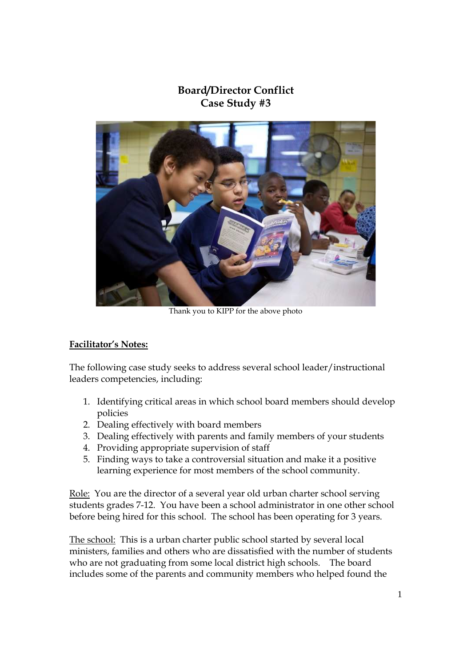## **Board/Director Conflict Case Study #3**



Thank you to KIPP for the above photo

## **Facilitator's Notes:**

The following case study seeks to address several school leader/instructional leaders competencies, including:

- 1. Identifying critical areas in which school board members should develop policies
- 2. Dealing effectively with board members
- 3. Dealing effectively with parents and family members of your students
- 4. Providing appropriate supervision of staff
- 5. Finding ways to take a controversial situation and make it a positive learning experience for most members of the school community.

Role: You are the director of a several year old urban charter school serving students grades 7-12. You have been a school administrator in one other school before being hired for this school. The school has been operating for 3 years.

The school: This is a urban charter public school started by several local ministers, families and others who are dissatisfied with the number of students who are not graduating from some local district high schools. The board includes some of the parents and community members who helped found the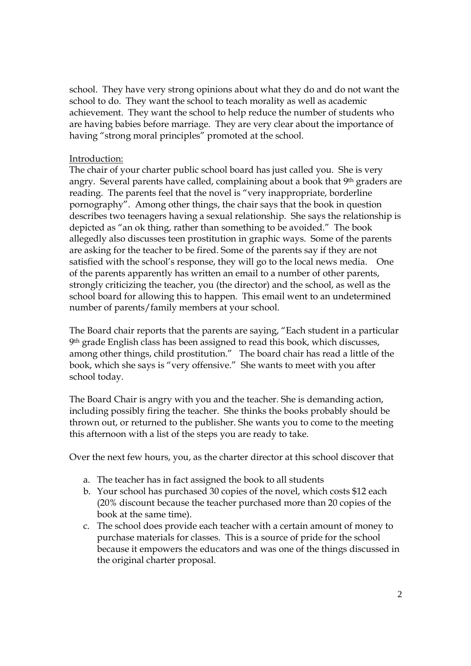school. They have very strong opinions about what they do and do not want the school to do. They want the school to teach morality as well as academic achievement. They want the school to help reduce the number of students who are having babies before marriage. They are very clear about the importance of having "strong moral principles" promoted at the school.

## Introduction:

The chair of your charter public school board has just called you. She is very angry. Several parents have called, complaining about a book that 9th graders are reading. The parents feel that the novel is "very inappropriate, borderline pornography". Among other things, the chair says that the book in question describes two teenagers having a sexual relationship. She says the relationship is depicted as "an ok thing, rather than something to be avoided." The book allegedly also discusses teen prostitution in graphic ways. Some of the parents are asking for the teacher to be fired. Some of the parents say if they are not satisfied with the school's response, they will go to the local news media. One of the parents apparently has written an email to a number of other parents, strongly criticizing the teacher, you (the director) and the school, as well as the school board for allowing this to happen. This email went to an undetermined number of parents/family members at your school.

The Board chair reports that the parents are saying, "Each student in a particular 9 th grade English class has been assigned to read this book, which discusses, among other things, child prostitution." The board chair has read a little of the book, which she says is "very offensive." She wants to meet with you after school today.

The Board Chair is angry with you and the teacher. She is demanding action, including possibly firing the teacher. She thinks the books probably should be thrown out, or returned to the publisher. She wants you to come to the meeting this afternoon with a list of the steps you are ready to take.

Over the next few hours, you, as the charter director at this school discover that

- a. The teacher has in fact assigned the book to all students
- b. Your school has purchased 30 copies of the novel, which costs \$12 each (20% discount because the teacher purchased more than 20 copies of the book at the same time).
- c. The school does provide each teacher with a certain amount of money to purchase materials for classes. This is a source of pride for the school because it empowers the educators and was one of the things discussed in the original charter proposal.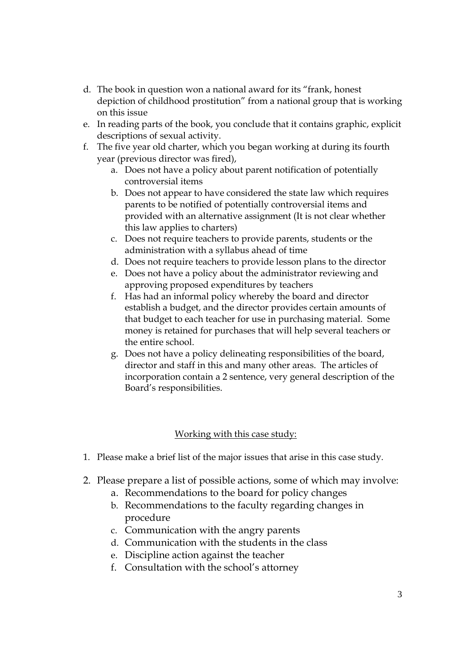- d. The book in question won a national award for its "frank, honest depiction of childhood prostitution" from a national group that is working on this issue
- e. In reading parts of the book, you conclude that it contains graphic, explicit descriptions of sexual activity.
- f. The five year old charter, which you began working at during its fourth year (previous director was fired),
	- a. Does not have a policy about parent notification of potentially controversial items
	- b. Does not appear to have considered the state law which requires parents to be notified of potentially controversial items and provided with an alternative assignment (It is not clear whether this law applies to charters)
	- c. Does not require teachers to provide parents, students or the administration with a syllabus ahead of time
	- d. Does not require teachers to provide lesson plans to the director
	- e. Does not have a policy about the administrator reviewing and approving proposed expenditures by teachers
	- f. Has had an informal policy whereby the board and director establish a budget, and the director provides certain amounts of that budget to each teacher for use in purchasing material. Some money is retained for purchases that will help several teachers or the entire school.
	- g. Does not have a policy delineating responsibilities of the board, director and staff in this and many other areas. The articles of incorporation contain a 2 sentence, very general description of the Board's responsibilities.

## Working with this case study:

- 1. Please make a brief list of the major issues that arise in this case study.
- 2. Please prepare a list of possible actions, some of which may involve:
	- a. Recommendations to the board for policy changes
	- b. Recommendations to the faculty regarding changes in procedure
	- c. Communication with the angry parents
	- d. Communication with the students in the class
	- e. Discipline action against the teacher
	- f. Consultation with the school's attorney